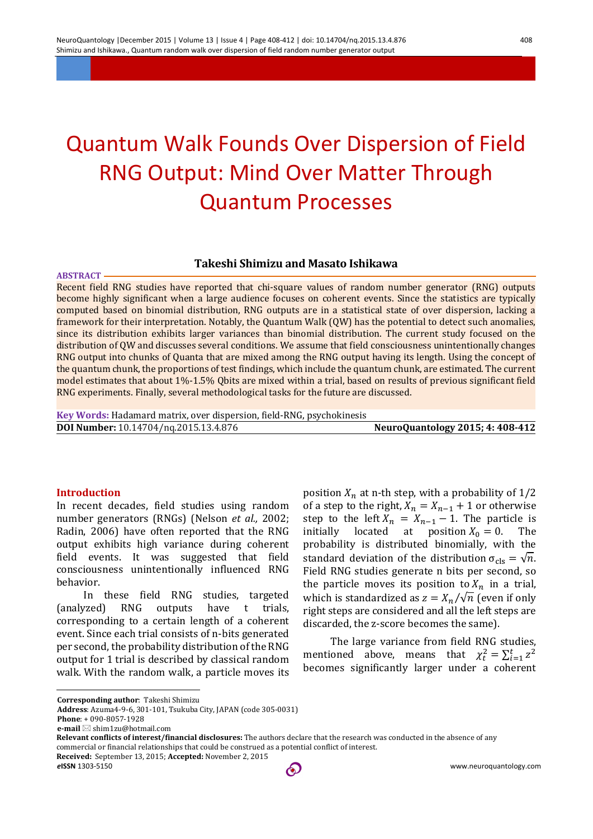# Quantum Walk Founds Over Dispersion of Field RNG Output: Mind Over Matter Through Quantum Processes

## **Takeshi Shimizu and Masato Ishikawa**

Recent field RNG studies have reported that chi-square values of random number generator (RNG) outputs become highly significant when a large audience focuses on coherent events. Since the statistics are typically computed based on binomial distribution, RNG outputs are in a statistical state of over dispersion, lacking a framework for their interpretation. Notably, the Quantum Walk (QW) has the potential to detect such anomalies, since its distribution exhibits larger variances than binomial distribution. The current study focused on the distribution of QW and discusses several conditions. We assume that field consciousness unintentionally changes RNG output into chunks of Quanta that are mixed among the RNG output having its length. Using the concept of the quantum chunk, the proportions of test findings, which include the quantum chunk, are estimated. The current model estimates that about 1%-1.5% Qbits are mixed within a trial, based on results of previous significant field RNG experiments. Finally, several methodological tasks for the future are discussed.

**Key Words:** Hadamard matrix, over dispersion, field-RNG, psychokinesis **DOI Number:** 10.14704/nq.2015.13.4.876 **NeuroQuantology 2015; 4: 408-412**

#### **Introduction**

**ABSTRACT**

In recent decades, field studies using random number generators (RNGs) (Nelson *et al.,* 2002; Radin, 2006) have often reported that the RNG output exhibits high variance during coherent field events. It was suggested that field consciousness unintentionally influenced RNG behavior.

In these field RNG studies, targeted (analyzed) RNG outputs have t trials, corresponding to a certain length of a coherent event. Since each trial consists of n-bits generated per second, the probability distribution of the RNG output for 1 trial is described by classical random walk. With the random walk, a particle moves its position  $X_n$  at n-th step, with a probability of  $1/2$ of a step to the right,  $X_n = X_{n-1} + 1$  or otherwise step to the left  $X_n = X_{n-1} - 1$ . The particle is initially located at position  $X_0 = 0$ . The probability is distributed binomially, with the standard deviation of the distribution  $\sigma_{\text{cls}} = \sqrt{n}$ . Field RNG studies generate n bits per second, so the particle moves its position to  $X_n$  in a trial, which is standardized as  $z = X_n / \sqrt{n}$  (even if only right steps are considered and all the left steps are discarded, the z-score becomes the same).

The large variance from field RNG studies, mentioned above, means that  $\chi_t^2 = \sum_{i=1}^t z^2$ becomes significantly larger under a coherent

 **Phone**: + 090-8057-1928 **e-mail** ⊠ shim1zu@hotmail.com

commercial or financial relationships that could be construed as a potential conflict of interest. **Received:** September 13, 2015; **Accepted:** November 2, 2015

 $\overline{a}$ 

**Corresponding author**: Takeshi Shimizu

**Address**: Azuma4-9-6, 301-101, Tsukuba City, JAPAN (code 305-0031)

**Relevant conflicts of interest/financial disclosures:** The authors declare that the research was conducted in the absence of any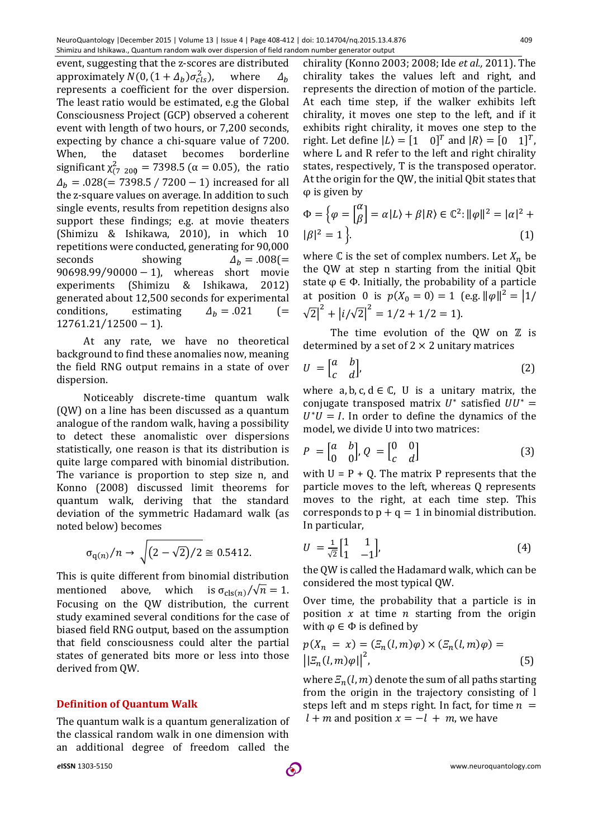event, suggesting that the z-scores are distributed approximately  $N(0, (1 + \Delta_b) \sigma_{cls}^2)$ , where  $\Delta_h$ represents a coefficient for the over dispersion. The least ratio would be estimated, e.g the Global Consciousness Project (GCP) observed a coherent event with length of two hours, or 7,200 seconds, expecting by chance a chi-square value of 7200. When, the dataset becomes borderline significant  $\chi^2_{(7\ 200)} = 7398.5$  ( $\alpha = 0.05$ ), the ratio  $\Delta_b$  = .028(= 7398.5 / 7200 – 1) increased for all the z-square values on average. In addition to such single events, results from repetition designs also support these findings; e.g. at movie theaters (Shimizu & Ishikawa, 2010), in which 10 repetitions were conducted, generating for 90,000 seconds showing  $\Delta_h = .008$ (= 90698.99/90000 − 1), whereas short movie experiments (Shimizu & Ishikawa, 2012) generated about 12,500 seconds for experimental conditions, estimating  $\Delta_h = .021$  (= 12761.21⁄12500 − 1).

At any rate, we have no theoretical background to find these anomalies now, meaning the field RNG output remains in a state of over dispersion.

Noticeably discrete-time quantum walk (QW) on a line has been discussed as a quantum analogue of the random walk, having a possibility to detect these anomalistic over dispersions statistically, one reason is that its distribution is quite large compared with binomial distribution. The variance is proportion to step size n, and Konno (2008) discussed limit theorems for quantum walk, deriving that the standard deviation of the symmetric Hadamard walk (as noted below) becomes

$$
\sigma_{q(n)}/n \to \sqrt{(2-\sqrt{2})/2} \cong 0.5412.
$$

This is quite different from binomial distribution mentioned above, which is  $\sigma_{\text{cls}(n)}/\sqrt{n} = 1$ . Focusing on the QW distribution, the current study examined several conditions for the case of biased field RNG output, based on the assumption that field consciousness could alter the partial states of generated bits more or less into those derived from QW.

### **Definition of Quantum Walk**

The quantum walk is a quantum generalization of the classical random walk in one dimension with an additional degree of freedom called the

chirality (Konno 2003; 2008; Ide *et al.,* 2011). The chirality takes the values left and right, and represents the direction of motion of the particle. At each time step, if the walker exhibits left chirality, it moves one step to the left, and if it exhibits right chirality, it moves one step to the right. Let define  $|L\rangle = [1 \ 0]^T$  and  $|R\rangle = [0 \ 1]^T$ , where L and R refer to the left and right chirality states, respectively, T is the transposed operator. At the origin for the QW, the initial Qbit states that φ is given by

$$
\Phi = \left\{ \varphi = \begin{bmatrix} \alpha \\ \beta \end{bmatrix} = \alpha | L \rangle + \beta | R \rangle \in \mathbb{C}^2 : ||\varphi||^2 = |\alpha|^2 + |\beta|^2 = 1 \right\}.
$$
\n(1)

where  $\mathbb C$  is the set of complex numbers. Let  $X_n$  be the QW at step n starting from the initial Qbit state  $\varphi \in \Phi$ . Initially, the probability of a particle at position 0 is  $p(X_0 = 0) = 1$  (e.g.  $\|\varphi\|^2 = |1|$ /  $\sqrt{2}$ |<sup>2</sup> + | $i/\sqrt{2}$ |<sup>2</sup> = 1/2 + 1/2 = 1).

The time evolution of the OW on  $Z$  is determined by a set of  $2 \times 2$  unitary matrices

$$
U = \begin{bmatrix} a & b \\ c & d \end{bmatrix}, \tag{2}
$$

where  $a, b, c, d \in \mathbb{C}$ , U is a unitary matrix, the conjugate transposed matrix  $U^*$  satisfied  $UU^* =$  $U^*U = I$ . In order to define the dynamics of the model, we divide U into two matrices:

$$
P = \begin{bmatrix} a & b \\ 0 & 0 \end{bmatrix}, Q = \begin{bmatrix} 0 & 0 \\ c & d \end{bmatrix}
$$
 (3)

with  $U = P + Q$ . The matrix P represents that the particle moves to the left, whereas Q represents moves to the right, at each time step. This corresponds to  $p + q = 1$  in binomial distribution. In particular,

$$
U = \frac{1}{\sqrt{2}} \begin{bmatrix} 1 & 1 \\ 1 & -1 \end{bmatrix}, \tag{4}
$$

the QW is called the Hadamard walk, which can be considered the most typical QW.

Over time, the probability that a particle is in position  $x$  at time  $n$  starting from the origin with  $\varphi \in \Phi$  is defined by

$$
p(X_n = x) = (\mathcal{Z}_n(l, m)\varphi) \times (\mathcal{Z}_n(l, m)\varphi) =
$$
  

$$
||\mathcal{Z}_n(l, m)\varphi||^2,
$$
 (5)

where  $E_n(l, m)$  denote the sum of all paths starting from the origin in the trajectory consisting of l steps left and m steps right. In fact, for time  $n =$  $l + m$  and position  $x = -l + m$ , we have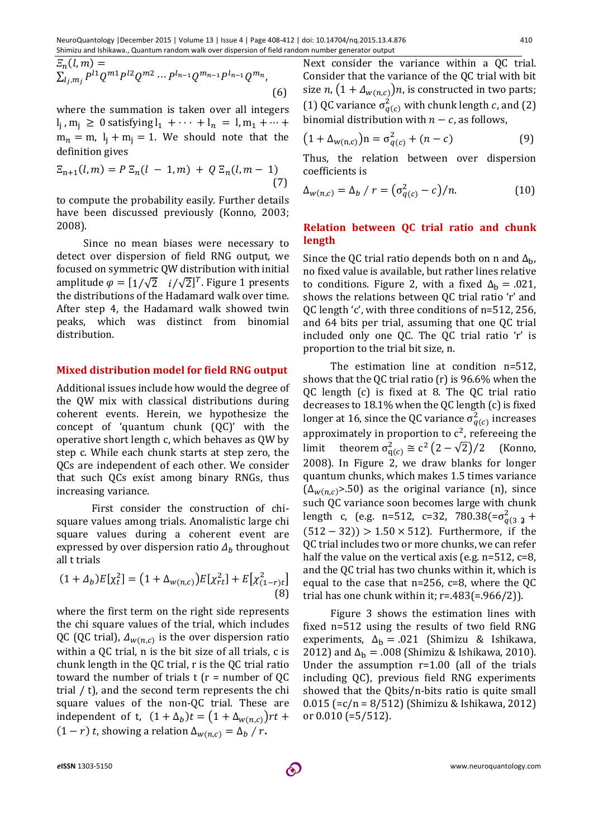$$
E_n(l,m) = \sum_{l_j,m_j} P^{l1} Q^{m1} P^{l2} Q^{m2} \cdots P^{l_{n-1}} Q^{m_{n-1}} P^{l_{n-1}} Q^{m_n},
$$
\n(6)

where the summation is taken over all integers  $l_1$ ,  $m_1 \ge 0$  satisfying  $l_1 + \cdots + l_n = l$ ,  $m_1 + \cdots + l_n$  $m_n = m$ ,  $l_i + m_i = 1$ . We should note that the definition gives

$$
\Xi_{n+1}(l,m) = P \Xi_n(l-1,m) + Q \Xi_n(l,m-1)
$$
\n(7)

to compute the probability easily. Further details have been discussed previously (Konno, 2003; 2008).

Since no mean biases were necessary to detect over dispersion of field RNG output, we focused on symmetric QW distribution with initial amplitude  $\varphi = [1/\sqrt{2} \ i/\sqrt{2}]^T$ . Figure 1 presents the distributions of the Hadamard walk over time. After step 4, the Hadamard walk showed twin peaks, which was distinct from binomial distribution.

#### **Mixed distribution model for field RNG output**

Additional issues include how would the degree of the QW mix with classical distributions during coherent events. Herein, we hypothesize the concept of 'quantum chunk (QC)' with the operative short length c, which behaves as QW by step c. While each chunk starts at step zero, the QCs are independent of each other. We consider that such QCs exist among binary RNGs, thus increasing variance.

First consider the construction of chisquare values among trials. Anomalistic large chi square values during a coherent event are expressed by over dispersion ratio  $\Delta_h$  throughout all t trials

$$
(1 + \Delta_b)E[\chi_t^2] = (1 + \Delta_{w(n,c)})E[\chi_{rt}^2] + E[\chi_{(1-r)t}^2]
$$
\n(8)

where the first term on the right side represents the chi square values of the trial, which includes QC (QC trial),  $\Delta_{w(n,c)}$  is the over dispersion ratio within a QC trial, n is the bit size of all trials, c is chunk length in the QC trial, r is the QC trial ratio toward the number of trials  $t$  ( $r =$  number of QC trial / t), and the second term represents the chi square values of the non-QC trial. These are independent of t,  $(1 + \Delta_b)t = (1 + \Delta_{w(n,c)})rt +$  $(1 - r) t$ , showing a relation  $\Delta_{w(n,c)} = \Delta_b / r$ .

Next consider the variance within a QC trial. Consider that the variance of the QC trial with bit size *n*,  $(1 + \Delta_{w(n,c)})n$ , is constructed in two parts; (1) QC variance  $\sigma_{q(c)}^2$  with chunk length c, and (2) binomial distribution with  $n - c$ , as follows,

$$
(1 + \Delta_{w(n,c)})n = \sigma_{q(c)}^2 + (n - c)
$$
 (9)

Thus, the relation between over dispersion coefficients is

$$
\Delta_{w(n,c)} = \Delta_b / r = \left(\sigma_{q(c)}^2 - c\right) / n. \tag{10}
$$

#### **Relation between QC trial ratio and chunk length**

Since the QC trial ratio depends both on n and  $\Delta_{h}$ , no fixed value is available, but rather lines relative to conditions. Figure 2, with a fixed  $\Delta_{\rm b} = .021$ , shows the relations between QC trial ratio 'r' and QC length 'c', with three conditions of n=512, 256, and 64 bits per trial, assuming that one QC trial included only one QC. The QC trial ratio 'r' is proportion to the trial bit size, n.

The estimation line at condition n=512, shows that the QC trial ratio (r) is 96.6% when the QC length (c) is fixed at 8. The QC trial ratio decreases to 18.1% when the QC length (c) is fixed longer at 16, since the QC variance  $\sigma_{q(c)}^2$  increases approximately in proportion to  $c^2$ , refereeing the limit theorem  $\sigma_{q(c)}^2 \cong c^2 (2 - \sqrt{2})/2$  (Konno, 2008). In Figure 2, we draw blanks for longer quantum chunks, which makes 1.5 times variance  $(\Delta_{w(n,c)}$ >.50) as the original variance (n), since such QC variance soon becomes large with chunk length c, (e.g. n=512, c=32, 780.38(= $\sigma_{q(3,2)}^2$  +  $(512 - 32)$ ) > 1.50 × 512). Furthermore, if the QC trial includes two or more chunks, we can refer half the value on the vertical axis (e.g. n=512, c=8, and the QC trial has two chunks within it, which is equal to the case that n=256, c=8, where the QC trial has one chunk within it;  $r = .483(= .966/2)$ .

Figure 3 shows the estimation lines with fixed n=512 using the results of two field RNG experiments,  $\Delta_{\rm h} = .021$  (Shimizu & Ishikawa, 2012) and  $\Delta_{\rm b} = .008$  (Shimizu & Ishikawa, 2010). Under the assumption r=1.00 (all of the trials including QC), previous field RNG experiments showed that the Qbits/n-bits ratio is quite small 0.015 (=c/n = 8/512) (Shimizu & Ishikawa, 2012) or 0.010 (=5/512).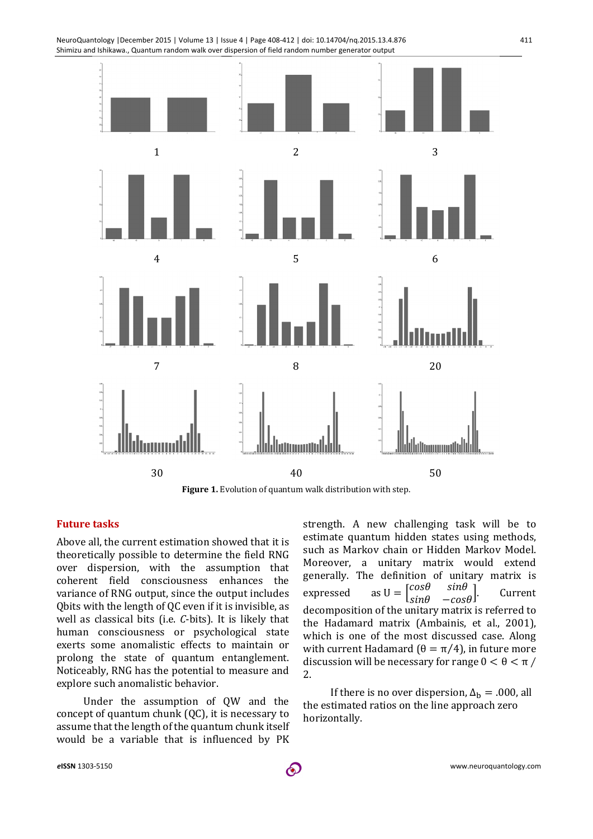

NeuroQuantology |December 2015 | Volume 13 | Issue 4 | Page 408-412 | doi: 10.14704/nq.2015.13.4.876



#### **Future tasks**

Above all, the current estimation showed that it is theoretically possible to determine the field RNG over dispersion, with the assumption that coherent field consciousness enhances the variance of RNG output, since the output includes Qbits with the length of QC even if it is invisible, as well as classical bits (i.e. *C*-bits). It is likely that human consciousness or psychological state exerts some anomalistic effects to maintain or prolong the state of quantum entanglement. Noticeably, RNG has the potential to measure and explore such anomalistic behavior.

Under the assumption of QW and the concept of quantum chunk (QC), it is necessary to assume that the length of the quantum chunk itself would be a variable that is influenced by PK

strength. A new challenging task will be to estimate quantum hidden states using methods, such as Markov chain or Hidden Markov Model. Moreover, a unitary matrix would extend generally. The definition of unitary matrix is expressed as  $U = \begin{bmatrix} cos\theta & sin\theta \end{bmatrix}$  $\begin{bmatrix} \cos\theta & \sin\theta \\ \sin\theta & -\cos\theta \end{bmatrix}$ . Current decomposition of the unitary matrix is referred to the Hadamard matrix (Ambainis, et al., 2001), which is one of the most discussed case. Along with current Hadamard ( $θ = π/4$ ), in future more discussion will be necessary for range  $0 < \theta < \pi$  / 2.

If there is no over dispersion,  $\Delta_{\rm b} = .000$ , all the estimated ratios on the line approach zero horizontally.